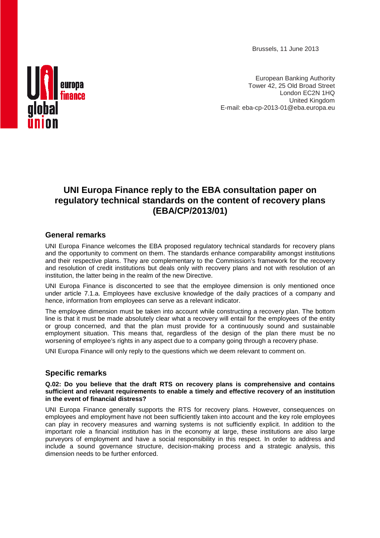Brussels, 11 June 2013



European Banking Authority Tower 42, 25 Old Broad Street London EC2N 1HQ United Kingdom E-mail: eba-cp-2013-01@eba.europa.eu

# **UNI Europa Finance reply to the EBA consultation paper on regulatory technical standards on the content of recovery plans (EBA/CP/2013/01)**

## **General remarks**

UNI Europa Finance welcomes the EBA proposed regulatory technical standards for recovery plans and the opportunity to comment on them. The standards enhance comparability amongst institutions and their respective plans. They are complementary to the Commission's framework for the recovery and resolution of credit institutions but deals only with recovery plans and not with resolution of an institution, the latter being in the realm of the new Directive.

UNI Europa Finance is disconcerted to see that the employee dimension is only mentioned once under article 7.1.a. Employees have exclusive knowledge of the daily practices of a company and hence, information from employees can serve as a relevant indicator.

The employee dimension must be taken into account while constructing a recovery plan. The bottom line is that it must be made absolutely clear what a recovery will entail for the employees of the entity or group concerned, and that the plan must provide for a continuously sound and sustainable employment situation. This means that, regardless of the design of the plan there must be no worsening of employee's rights in any aspect due to a company going through a recovery phase.

UNI Europa Finance will only reply to the questions which we deem relevant to comment on.

## **Specific remarks**

#### **Q.02: Do you believe that the draft RTS on recovery plans is comprehensive and contains sufficient and relevant requirements to enable a timely and effective recovery of an institution in the event of financial distress?**

UNI Europa Finance generally supports the RTS for recovery plans. However, consequences on employees and employment have not been sufficiently taken into account and the key role employees can play in recovery measures and warning systems is not sufficiently explicit. In addition to the important role a financial institution has in the economy at large, these institutions are also large purveyors of employment and have a social responsibility in this respect. In order to address and include a sound governance structure, decision-making process and a strategic analysis, this dimension needs to be further enforced.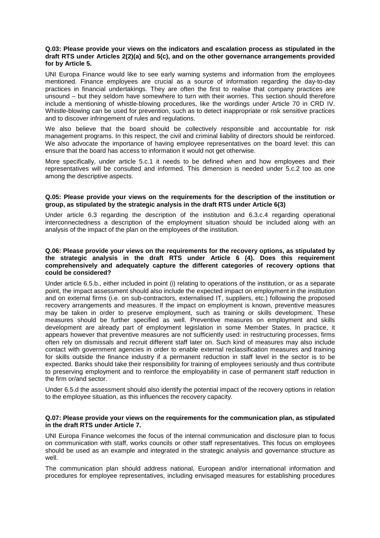#### **Q.03: Please provide your views on the indicators and escalation process as stipulated in the draft RTS under Articles 2(2)(a) and 5(c), and on the other governance arrangements provided for by Article 5.**

UNI Europa Finance would like to see early warning systems and information from the employees mentioned. Finance employees are crucial as a source of information regarding the day-to-day practices in financial undertakings. They are often the first to realise that company practices are unsound – but they seldom have somewhere to turn with their worries. This section should therefore include a mentioning of whistle-blowing procedures, like the wordings under Article 70 in CRD IV. Whistle-blowing can be used for prevention, such as to detect inappropriate or risk sensitive practices and to discover infringement of rules and regulations.

We also believe that the board should be collectively responsible and accountable for risk management programs. In this respect, the civil and criminal liability of directors should be reinforced. We also advocate the importance of having employee representatives on the board level: this can ensure that the board has access to information it would not get otherwise.

More specifically, under article 5.c.1 it needs to be defined when and how employees and their representatives will be consulted and informed. This dimension is needed under 5.c.2 too as one among the descriptive aspects.

#### **Q.05: Please provide your views on the requirements for the description of the institution or group, as stipulated by the strategic analysis in the draft RTS under Article 6(3)**

Under article 6.3 regarding the description of the institution and 6.3.c.4 regarding operational interconnectedness a description of the employment situation should be included along with an analysis of the impact of the plan on the employees of the institution.

#### **Q.06: Please provide your views on the requirements for the recovery options, as stipulated by the strategic analysis in the draft RTS under Article 6 (4). Does this requirement comprehensively and adequately capture the different categories of recovery options that could be considered?**

Under article 6.5.b., either included in point (i) relating to operations of the institution, or as a separate point, the impact assessment should also include the expected impact on employment in the institution and on external firms (i.e. on sub-contractors, externalised IT, suppliers, etc.) following the proposed recovery arrangements and measures. If the impact on employment is known, preventive measures may be taken in order to preserve employment, such as training or skills development. These measures should be further specified as well. Preventive measures on employment and skills development are already part of employment legislation in some Member States. In practice, it appears however that preventive measures are not sufficiently used: in restructuring processes, firms often rely on dismissals and recruit different staff later on. Such kind of measures may also include contact with government agencies in order to enable external reclassification measures and training for skills outside the finance industry if a permanent reduction in staff level in the sector is to be expected. Banks should take their responsibility for training of employees seriously and thus contribute to preserving employment and to reinforce the employability in case of permanent staff reduction in the firm or/and sector.

Under 6.5.d the assessment should also identify the potential impact of the recovery options in relation to the employee situation, as this influences the recovery capacity.

#### **Q.07: Please provide your views on the requirements for the communication plan, as stipulated in the draft RTS under Article 7.**

UNI Europa Finance welcomes the focus of the internal communication and disclosure plan to focus on communication with staff, works councils or other staff representatives. This focus on employees should be used as an example and integrated in the strategic analysis and governance structure as well.

The communication plan should address national, European and/or international information and procedures for employee representatives, including envisaged measures for establishing procedures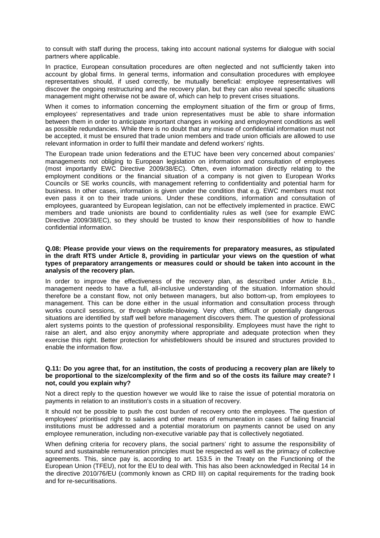to consult with staff during the process, taking into account national systems for dialogue with social partners where applicable.

In practice, European consultation procedures are often neglected and not sufficiently taken into account by global firms. In general terms, information and consultation procedures with employee representatives should, if used correctly, be mutually beneficial: employee representatives will discover the ongoing restructuring and the recovery plan, but they can also reveal specific situations management might otherwise not be aware of, which can help to prevent crises situations.

When it comes to information concerning the employment situation of the firm or group of firms, employees' representatives and trade union representatives must be able to share information between them in order to anticipate important changes in working and employment conditions as well as possible redundancies. While there is no doubt that any misuse of confidential information must not be accepted, it must be ensured that trade union members and trade union officials are allowed to use relevant information in order to fulfil their mandate and defend workers' rights.

The European trade union federations and the ETUC have been very concerned about companies' managements not obliging to European legislation on information and consultation of employees (most importantly EWC Directive 2009/38/EC). Often, even information directly relating to the employment conditions or the financial situation of a company is not given to European Works Councils or SE works councils, with management referring to confidentiality and potential harm for business. In other cases, information is given under the condition that e.g. EWC members must not even pass it on to their trade unions. Under these conditions, information and consultation of employees, guaranteed by European legislation, can not be effectively implemented in practice. EWC members and trade unionists are bound to confidentiality rules as well (see for example EWC Directive 2009/38/EC), so they should be trusted to know their responsibilities of how to handle confidential information.

#### **Q.08: Please provide your views on the requirements for preparatory measures, as stipulated in the draft RTS under Article 8, providing in particular your views on the question of what types of preparatory arrangements or measures could or should be taken into account in the analysis of the recovery plan.**

In order to improve the effectiveness of the recovery plan, as described under Article 8.b., management needs to have a full, all-inclusive understanding of the situation. Information should therefore be a constant flow, not only between managers, but also bottom-up, from employees to management. This can be done either in the usual information and consultation process through works council sessions, or through whistle-blowing. Very often, difficult or potentially dangerous situations are identified by staff well before management discovers them. The question of professional alert systems points to the question of professional responsibility. Employees must have the right to raise an alert, and also enjoy anonymity where appropriate and adequate protection when they exercise this right. Better protection for whistleblowers should be insured and structures provided to enable the information flow.

#### **Q.11: Do you agree that, for an institution, the costs of producing a recovery plan are likely to be proportional to the size/complexity of the firm and so of the costs its failure may create? I not, could you explain why?**

Not a direct reply to the question however we would like to raise the issue of potential moratoria on payments in relation to an institution's costs in a situation of recovery.

It should not be possible to push the cost burden of recovery onto the employees. The question of employees' prioritised right to salaries and other means of remuneration in cases of failing financial institutions must be addressed and a potential moratorium on payments cannot be used on any employee remuneration, including non-executive variable pay that is collectively negotiated.

When defining criteria for recovery plans, the social partners' right to assume the responsibility of sound and sustainable remuneration principles must be respected as well as the primacy of collective agreements. This, since pay is, according to art. 153.5 in the Treaty on the Functioning of the European Union (TFEU), not for the EU to deal with. This has also been acknowledged in Recital 14 in the directive 2010/76/EU (commonly known as CRD III) on capital requirements for the trading book and for re-securitisations.